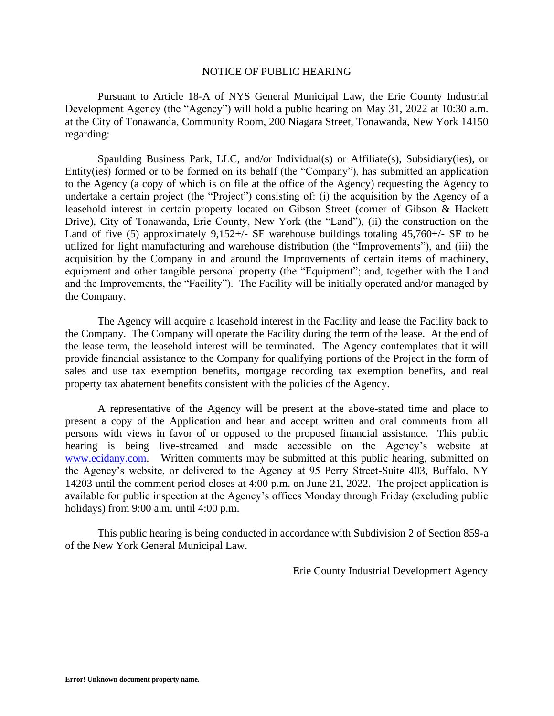# NOTICE OF PUBLIC HEARING

Pursuant to Article 18-A of NYS General Municipal Law, the Erie County Industrial Development Agency (the "Agency") will hold a public hearing on May 31, 2022 at 10:30 a.m. at the City of Tonawanda, Community Room, 200 Niagara Street, Tonawanda, New York 14150 regarding:

Spaulding Business Park, LLC, and/or Individual(s) or Affiliate(s), Subsidiary(ies), or Entity(ies) formed or to be formed on its behalf (the "Company"), has submitted an application to the Agency (a copy of which is on file at the office of the Agency) requesting the Agency to undertake a certain project (the "Project") consisting of: (i) the acquisition by the Agency of a leasehold interest in certain property located on Gibson Street (corner of Gibson & Hackett Drive), City of Tonawanda, Erie County, New York (the "Land"), (ii) the construction on the Land of five (5) approximately  $9,152+\prime$ - SF warehouse buildings totaling  $45,760+\prime$ - SF to be utilized for light manufacturing and warehouse distribution (the "Improvements"), and (iii) the acquisition by the Company in and around the Improvements of certain items of machinery, equipment and other tangible personal property (the "Equipment"; and, together with the Land and the Improvements, the "Facility"). The Facility will be initially operated and/or managed by the Company.

The Agency will acquire a leasehold interest in the Facility and lease the Facility back to the Company. The Company will operate the Facility during the term of the lease. At the end of the lease term, the leasehold interest will be terminated. The Agency contemplates that it will provide financial assistance to the Company for qualifying portions of the Project in the form of sales and use tax exemption benefits, mortgage recording tax exemption benefits, and real property tax abatement benefits consistent with the policies of the Agency.

A representative of the Agency will be present at the above-stated time and place to present a copy of the Application and hear and accept written and oral comments from all persons with views in favor of or opposed to the proposed financial assistance. This public hearing is being live-streamed and made accessible on the Agency's website at [www.ecidany.com.](http://www.ecidany.com/) Written comments may be submitted at this public hearing, submitted on the Agency's website, or delivered to the Agency at 95 Perry Street-Suite 403, Buffalo, NY 14203 until the comment period closes at 4:00 p.m. on June 21, 2022. The project application is available for public inspection at the Agency's offices Monday through Friday (excluding public holidays) from 9:00 a.m. until 4:00 p.m.

This public hearing is being conducted in accordance with Subdivision 2 of Section 859-a of the New York General Municipal Law.

Erie County Industrial Development Agency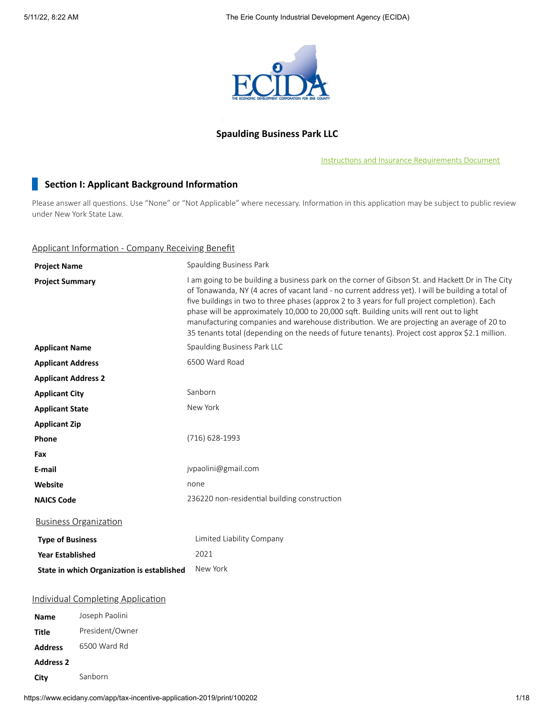

# **Spaulding Business Park LLC**

Instructions and Insurance [Requirements](https://www.ecidany.com/documents/tax_incentives_app/Instructions_and_Insurance_Req.PDF) Document

# **Section I: Applicant Background Information**

Please answer all questions. Use "None" or "Not Applicable" where necessary. Information in this application may be subject to public review under New York State Law.

# Applicant Information - Company Receiving Benefit

| <b>Project Name</b>                        | Spaulding Business Park                                                                                                                                                                                                                                                                                                                                                                                                                                                                                                                                                                            |
|--------------------------------------------|----------------------------------------------------------------------------------------------------------------------------------------------------------------------------------------------------------------------------------------------------------------------------------------------------------------------------------------------------------------------------------------------------------------------------------------------------------------------------------------------------------------------------------------------------------------------------------------------------|
| <b>Project Summary</b>                     | I am going to be building a business park on the corner of Gibson St. and Hackett Dr in The City<br>of Tonawanda, NY (4 acres of vacant land - no current address yet). I will be building a total of<br>five buildings in two to three phases (approx 2 to 3 years for full project completion). Each<br>phase will be approximately 10,000 to 20,000 sqft. Building units will rent out to light<br>manufacturing companies and warehouse distribution. We are projecting an average of 20 to<br>35 tenants total (depending on the needs of future tenants). Project cost approx \$2.1 million. |
| <b>Applicant Name</b>                      | Spaulding Business Park LLC                                                                                                                                                                                                                                                                                                                                                                                                                                                                                                                                                                        |
| <b>Applicant Address</b>                   | 6500 Ward Road                                                                                                                                                                                                                                                                                                                                                                                                                                                                                                                                                                                     |
| <b>Applicant Address 2</b>                 |                                                                                                                                                                                                                                                                                                                                                                                                                                                                                                                                                                                                    |
| <b>Applicant City</b>                      | Sanborn                                                                                                                                                                                                                                                                                                                                                                                                                                                                                                                                                                                            |
| <b>Applicant State</b>                     | New York                                                                                                                                                                                                                                                                                                                                                                                                                                                                                                                                                                                           |
| <b>Applicant Zip</b>                       |                                                                                                                                                                                                                                                                                                                                                                                                                                                                                                                                                                                                    |
| Phone                                      | $(716)$ 628-1993                                                                                                                                                                                                                                                                                                                                                                                                                                                                                                                                                                                   |
| Fax                                        |                                                                                                                                                                                                                                                                                                                                                                                                                                                                                                                                                                                                    |
| E-mail                                     | jvpaolini@gmail.com                                                                                                                                                                                                                                                                                                                                                                                                                                                                                                                                                                                |
| Website                                    | none                                                                                                                                                                                                                                                                                                                                                                                                                                                                                                                                                                                               |
| <b>NAICS Code</b>                          | 236220 non-residential building construction                                                                                                                                                                                                                                                                                                                                                                                                                                                                                                                                                       |
| <b>Business Organization</b>               |                                                                                                                                                                                                                                                                                                                                                                                                                                                                                                                                                                                                    |
| <b>Type of Business</b>                    | Limited Liability Company                                                                                                                                                                                                                                                                                                                                                                                                                                                                                                                                                                          |
| <b>Year Established</b>                    | 2021                                                                                                                                                                                                                                                                                                                                                                                                                                                                                                                                                                                               |
| State in which Organization is established | New York                                                                                                                                                                                                                                                                                                                                                                                                                                                                                                                                                                                           |
| <b>Individual Completing Application</b>   |                                                                                                                                                                                                                                                                                                                                                                                                                                                                                                                                                                                                    |
| Joseph Paolini<br>Name                     |                                                                                                                                                                                                                                                                                                                                                                                                                                                                                                                                                                                                    |
| President/Owner<br><b>Title</b>            |                                                                                                                                                                                                                                                                                                                                                                                                                                                                                                                                                                                                    |
| 6500 Ward Rd<br><b>Address</b>             |                                                                                                                                                                                                                                                                                                                                                                                                                                                                                                                                                                                                    |

https://www.ecidany.com/app/tax-incentive-application-2019/print/100202 1/18

**Address 2**

**City** Sanborn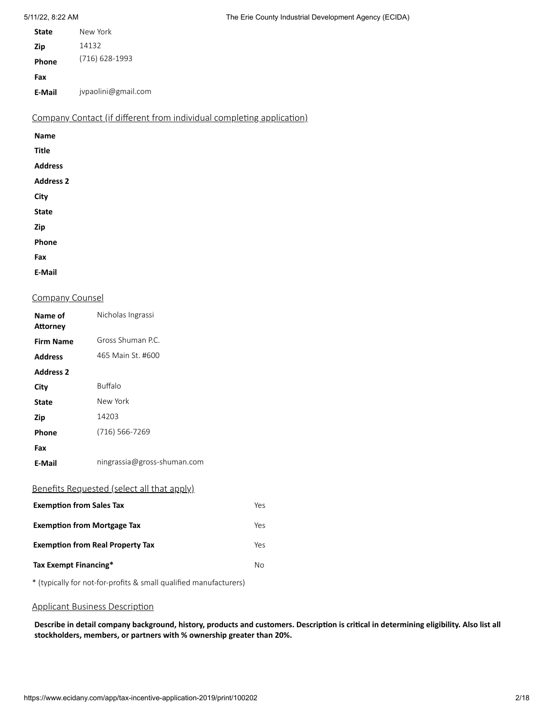| <b>State</b> | New York            |
|--------------|---------------------|
| Zip          | 14132               |
| Phone        | (716) 628-1993      |
| Fax          |                     |
| E-Mail       | jypaolini@gmail.com |

Company Contact (if different from individual completing application)

| <b>Name</b>      |  |
|------------------|--|
| <b>Title</b>     |  |
| <b>Address</b>   |  |
| <b>Address 2</b> |  |
| City             |  |
| <b>State</b>     |  |
| Zip              |  |
| Phone            |  |
| Fax              |  |
| <b>E-Mail</b>    |  |

## Company Counsel

| Name of<br><b>Attorney</b>              | Nicholas Ingrassi                                 |     |
|-----------------------------------------|---------------------------------------------------|-----|
| <b>Firm Name</b>                        | Gross Shuman P.C.                                 |     |
| <b>Address</b>                          | 465 Main St. #600                                 |     |
| <b>Address 2</b>                        |                                                   |     |
| City                                    | <b>Buffalo</b>                                    |     |
| <b>State</b>                            | New York                                          |     |
| Zip                                     | 14203                                             |     |
| Phone                                   | (716) 566-7269                                    |     |
| Fax                                     |                                                   |     |
| E-Mail                                  | ningrassia@gross-shuman.com                       |     |
|                                         | <u>Benefits Requested (select all that apply)</u> |     |
| <b>Exemption from Sales Tax</b>         |                                                   | Yes |
| <b>Exemption from Mortgage Tax</b>      |                                                   | Yes |
| <b>Exemption from Real Property Tax</b> |                                                   | Yes |
| Tax Exempt Financing*<br>No             |                                                   |     |

\* (typically for not-for-profits & small qualified manufacturers)

# Applicant Business Description

Describe in detail company background, history, products and customers. Description is critical in determining eligibility. Also list all **stockholders, members, or partners with % ownership greater than 20%.**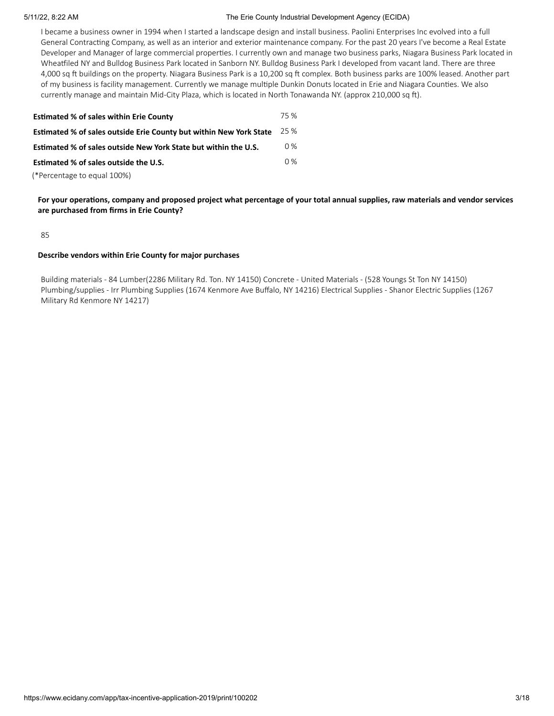#### 5/11/22, 8:22 AM The Erie County Industrial Development Agency (ECIDA)

I became a business owner in 1994 when I started a landscape design and install business. Paolini Enterprises Inc evolved into a full General Contracting Company, as well as an interior and exterior maintenance company. For the past 20 years I've become a Real Estate Developer and Manager of large commercial properties. I currently own and manage two business parks, Niagara Business Park located in Wheatfiled NY and Bulldog Business Park located in Sanborn NY. Bulldog Business Park I developed from vacant land. There are three 4,000 sq ft buildings on the property. Niagara Business Park is a 10,200 sq ft complex. Both business parks are 100% leased. Another part of my business is facility management. Currently we manage multiple Dunkin Donuts located in Erie and Niagara Counties. We also currently manage and maintain Mid-City Plaza, which is located in North Tonawanda NY. (approx 210,000 sq ft).

| <b>Estimated % of sales within Erie County</b>                            | 75 %  |
|---------------------------------------------------------------------------|-------|
| <b>Estimated % of sales outside Erie County but within New York State</b> | 25 %  |
| Estimated % of sales outside New York State but within the U.S.           | $0\%$ |
| Estimated % of sales outside the U.S.                                     | $0\%$ |
| (*Percentage to equal 100%)                                               |       |

For your operations, company and proposed project what percentage of your total annual supplies, raw materials and vendor services **are purchased from firms in Erie County?**

85

#### **Describe vendors within Erie County for major purchases**

Building materials - 84 Lumber(2286 Military Rd. Ton. NY 14150) Concrete - United Materials - (528 Youngs St Ton NY 14150) Plumbing/supplies - Irr Plumbing Supplies (1674 Kenmore Ave Buffalo, NY 14216) Electrical Supplies - Shanor Electric Supplies (1267 Military Rd Kenmore NY 14217)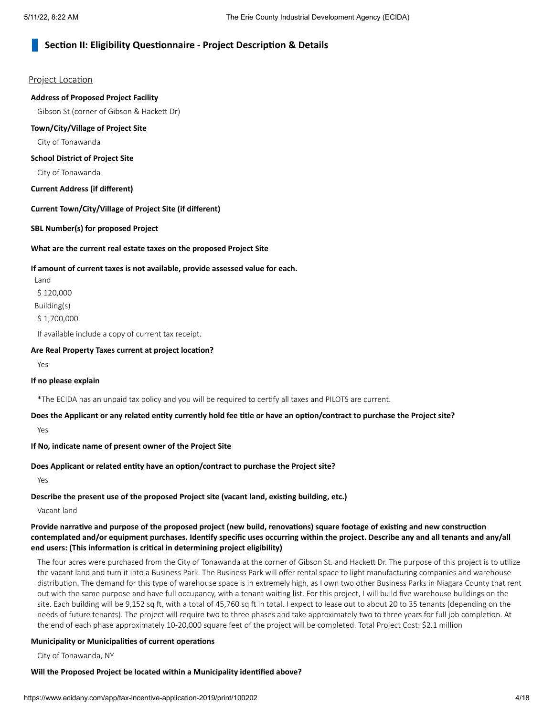# **Section II: Eligibility Questionnaire - Project Description & Details**

#### Project Location

#### **Address of Proposed Project Facility**

Gibson St (corner of Gibson & Hackett Dr)

#### **Town/City/Village of Project Site**

City of Tonawanda

### **School District of Project Site**

City of Tonawanda

### **Current Address (if different)**

#### **Current Town/City/Village of Project Site (if different)**

**SBL Number(s) for proposed Project**

#### **What are the current real estate taxes on the proposed Project Site**

#### **If amount of current taxes is not available, provide assessed value for each.**

Land \$ 120,000 Building(s) \$ 1,700,000

If available include a copy of current tax receipt.

#### **Are Real Property Taxes current at project location?**

Yes

### **If no please explain**

\*The ECIDA has an unpaid tax policy and you will be required to certify all taxes and PILOTS are current.

### Does the Applicant or any related entity currently hold fee title or have an option/contract to purchase the Project site?

Yes

#### **If No, indicate name of present owner of the Project Site**

### **Does Applicant or related entity have an option/contract to purchase the Project site?**

Yes

# **Describe the present use of the proposed Project site (vacant land, existing building, etc.)**

Vacant land

## Provide narrative and purpose of the proposed project (new build, renovations) square footage of existing and new construction contemplated and/or equipment purchases. Identify specific uses occurring within the project. Describe any and all tenants and any/all **end users: (This information is critical in determining project eligibility)**

The four acres were purchased from the City of Tonawanda at the corner of Gibson St. and Hackett Dr. The purpose of this project is to utilize the vacant land and turn it into a Business Park. The Business Park will offer rental space to light manufacturing companies and warehouse distribution. The demand for this type of warehouse space is in extremely high, as I own two other Business Parks in Niagara County that rent out with the same purpose and have full occupancy, with a tenant waiting list. For this project, I will build five warehouse buildings on the site. Each building will be 9,152 sq ft, with a total of 45,760 sq ft in total. I expect to lease out to about 20 to 35 tenants (depending on the needs of future tenants). The project will require two to three phases and take approximately two to three years for full job completion. At the end of each phase approximately 10-20,000 square feet of the project will be completed. Total Project Cost: \$2.1 million

# **Municipality or Municipalities of current operations**

City of Tonawanda, NY

# **Will the Proposed Project be located within a Municipality identified above?**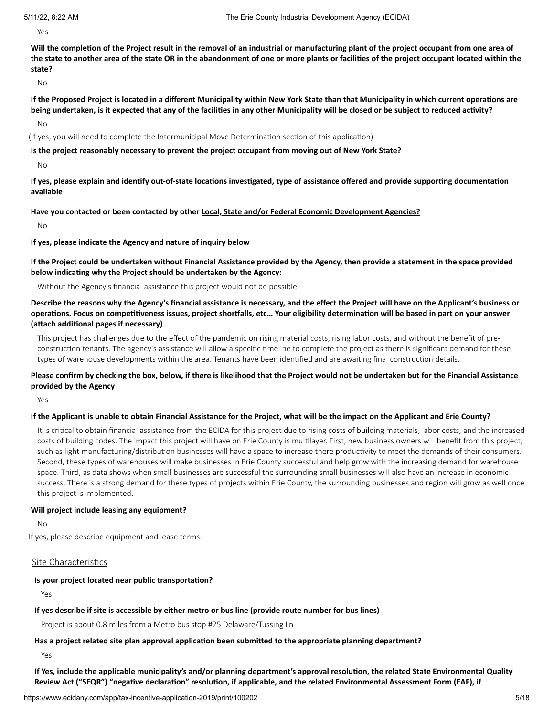Yes

Will the completion of the Project result in the removal of an industrial or manufacturing plant of the project occupant from one area of the state to another area of the state OR in the abandonment of one or more plants or facilities of the project occupant located within the **state?**

No

If the Proposed Project is located in a different Municipality within New York State than that Municipality in which current operations are being undertaken, is it expected that any of the facilities in any other Municipality will be closed or be subject to reduced activity?

No

(If yes, you will need to complete the Intermunicipal Move Determination section of this application)

#### **Is the project reasonably necessary to prevent the project occupant from moving out of New York State?**

No

If yes, please explain and identify out-of-state locations investigated, type of assistance offered and provide supporting documentation **available**

#### **Have you contacted or been contacted by other Local, State and/or Federal Economic Development Agencies?**

No

#### **If yes, please indicate the Agency and nature of inquiry below**

If the Project could be undertaken without Financial Assistance provided by the Agency, then provide a statement in the space provided **below indicating why the Project should be undertaken by the Agency:**

Without the Agency's financial assistance this project would not be possible.

Describe the reasons why the Agency's financial assistance is necessary, and the effect the Project will have on the Applicant's business or operations. Focus on competitiveness issues, project shortfalls, etc... Your eligibility determination will be based in part on your answer **(attach additional pages if necessary)**

This project has challenges due to the effect of the pandemic on rising material costs, rising labor costs, and without the benefit of preconstruction tenants. The agency's assistance will allow a specific timeline to complete the project as there is significant demand for these types of warehouse developments within the area. Tenants have been identified and are awaiting final construction details.

### Please confirm by checking the box, below, if there is likelihood that the Project would not be undertaken but for the Financial Assistance **provided by the Agency**

Yes

#### If the Applicant is unable to obtain Financial Assistance for the Project, what will be the impact on the Applicant and Erie County?

It is critical to obtain financial assistance from the ECIDA for this project due to rising costs of building materials, labor costs, and the increased costs of building codes. The impact this project will have on Erie County is multilayer. First, new business owners will benefit from this project, such as light manufacturing/distribution businesses will have a space to increase there productivity to meet the demands of their consumers. Second, these types of warehouses will make businesses in Erie County successful and help grow with the increasing demand for warehouse space. Third, as data shows when small businesses are successful the surrounding small businesses will also have an increase in economic success. There is a strong demand for these types of projects within Erie County, the surrounding businesses and region will grow as well once this project is implemented.

#### **Will project include leasing any equipment?**

No

If yes, please describe equipment and lease terms.

#### Site Characteristics

#### **Is your project located near public transportation?**

Yes

#### If yes describe if site is accessible by either metro or bus line (provide route number for bus lines)

Project is about 0.8 miles from a Metro bus stop #25 Delaware/Tussing Ln

#### **Has a project related site plan approval application been submitted to the appropriate planning department?**

Yes

If Yes, include the applicable municipality's and/or planning department's approval resolution, the related State Environmental Quality Review Act ("SEQR") "negative declaration" resolution, if applicable, and the related Environmental Assessment Form (EAF), if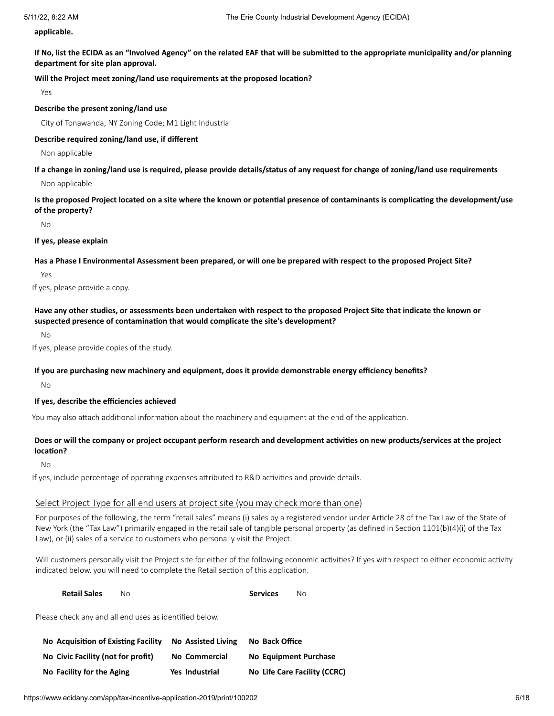**applicable.**

If No, list the ECIDA as an "Involved Agency" on the related EAF that will be submitted to the appropriate municipality and/or planning **department for site plan approval.**

#### **Will the Project meet zoning/land use requirements at the proposed location?**

Yes

#### **Describe the present zoning/land use**

City of Tonawanda, NY Zoning Code; M1 Light Industrial

#### **Describe required zoning/land use, if different**

Non applicable

#### If a change in zoning/land use is required, please provide details/status of any request for change of zoning/land use requirements

Non applicable

Is the proposed Project located on a site where the known or potential presence of contaminants is complicating the development/use **of the property?**

No

#### **If yes, please explain**

#### Has a Phase I Environmental Assessment been prepared, or will one be prepared with respect to the proposed Project Site?

Yes

If yes, please provide a copy.

## Have any other studies, or assessments been undertaken with respect to the proposed Project Site that indicate the known or **suspected presence of contamination that would complicate the site's development?**

No

If yes, please provide copies of the study.

#### **If you are purchasing new machinery and equipment, does it provide demonstrable energy efficiency benefits?**

No

# **If yes, describe the efficiencies achieved**

You may also attach additional information about the machinery and equipment at the end of the application.

# Does or will the company or project occupant perform research and development activities on new products/services at the project **location?**

No

If yes, include percentage of operating expenses attributed to R&D activities and provide details.

#### Select Project Type for all end users at project site (you may check more than one)

For purposes of the following, the term "retail sales" means (i) sales by a registered vendor under Article 28 of the Tax Law of the State of New York (the "Tax Law") primarily engaged in the retail sale of tangible personal property (as defined in Section 1101(b)(4)(i) of the Tax Law), or (ii) sales of a service to customers who personally visit the Project.

Will customers personally visit the Project site for either of the following economic activities? If yes with respect to either economic activity indicated below, you will need to complete the Retail section of this application.

| <b>Retail Sales</b> | No | <b>Services</b> | No. |
|---------------------|----|-----------------|-----|
|                     |    |                 |     |

Please check any and all end uses as identified below.

| No Acquisition of Existing Facility | <b>No Assisted Living</b> | No Back Office               |
|-------------------------------------|---------------------------|------------------------------|
| No Civic Facility (not for profit)  | No Commercial             | No Equipment Purchase        |
| No Facility for the Aging           | <b>Yes Industrial</b>     | No Life Care Facility (CCRC) |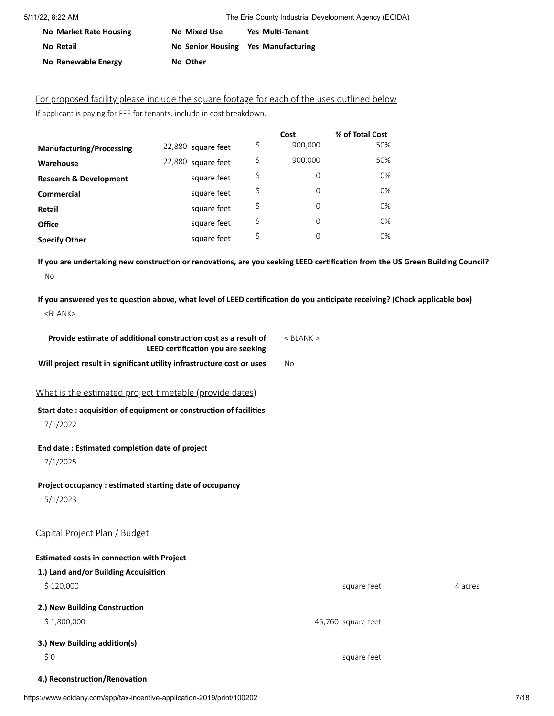| <b>No Market Rate Housing</b> | No Mixed Use                        | Yes Multi-Tenant |
|-------------------------------|-------------------------------------|------------------|
| No Retail                     | No Senior Housing Yes Manufacturing |                  |
| No Renewable Energy           | No Other                            |                  |

For proposed facility please include the square footage for each of the uses outlined below If applicant is paying for FFE for tenants, include in cost breakdown.

|                                   |                       | Cost           | % of Total Cost |
|-----------------------------------|-----------------------|----------------|-----------------|
| <b>Manufacturing/Processing</b>   | 22,880 square feet    | \$<br>900,000  | 50%             |
| Warehouse                         | 22,880<br>square feet | \$<br>900,000  | 50%             |
| <b>Research &amp; Development</b> | square feet           | \$<br>0        | 0%              |
| <b>Commercial</b>                 | square feet           | \$<br>$\Omega$ | 0%              |
| Retail                            | square feet           | \$<br>$\Omega$ | 0%              |
| <b>Office</b>                     | square feet           | \$<br>$\Omega$ | 0%              |
| <b>Specify Other</b>              | square feet           | \$<br>$\Omega$ | 0%              |

If you are undertaking new construction or renovations, are you seeking LEED certification from the US Green Building Council? No

If you answered yes to question above, what level of LEED certification do you anticipate receiving? (Check applicable box) <BLANK>

| Provide estimate of additional construction cost as a result of<br>LEED certification you are seeking | $<$ BLANK $>$      |         |
|-------------------------------------------------------------------------------------------------------|--------------------|---------|
| Will project result in significant utility infrastructure cost or uses                                | <b>No</b>          |         |
| What is the estimated project timetable (provide dates)                                               |                    |         |
| Start date: acquisition of equipment or construction of facilities                                    |                    |         |
| 7/1/2022                                                                                              |                    |         |
| End date: Estimated completion date of project                                                        |                    |         |
| 7/1/2025                                                                                              |                    |         |
| Project occupancy : estimated starting date of occupancy                                              |                    |         |
| 5/1/2023                                                                                              |                    |         |
| Capital Project Plan / Budget                                                                         |                    |         |
| <b>Estimated costs in connection with Project</b>                                                     |                    |         |
| 1.) Land and/or Building Acquisition                                                                  |                    |         |
| \$120,000                                                                                             | square feet        | 4 acres |
| 2.) New Building Construction                                                                         |                    |         |
| \$1,800,000                                                                                           | 45,760 square feet |         |
| 3.) New Building addition(s)                                                                          |                    |         |
| \$0                                                                                                   | square feet        |         |
| 4.) Reconstruction/Renovation                                                                         |                    |         |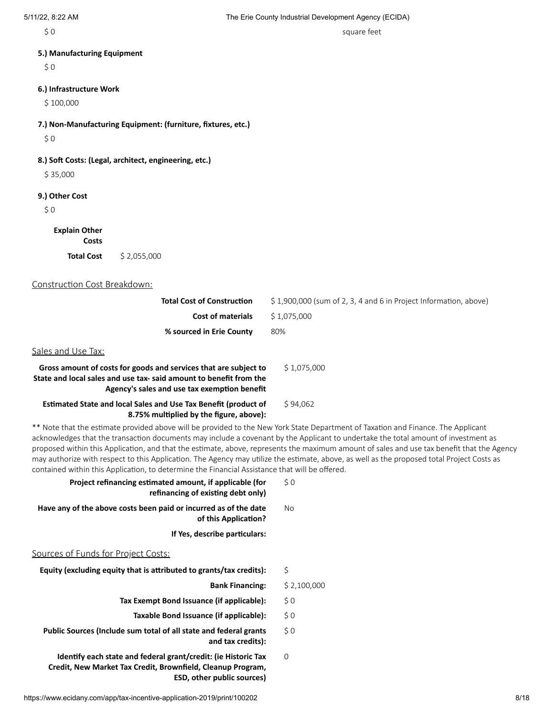\$0 square feet

#### **5.) Manufacturing Equipment**

 $$0$ 

# **6.) Infrastructure Work**

\$ 100,000

**7.) Non-Manufacturing Equipment: (furniture, fixtures, etc.)**

 $$0$ 

**8.) Soft Costs: (Legal, architect, engineering, etc.)**

\$ 35,000

#### **9.) Other Cost**

 $$0$ 

**Explain Other**

**Costs Total Cost** \$ 2,055,000

#### Construction Cost Breakdown:

| <b>Total Cost of Construction</b> | $\lesssim$ 1,900,000 (sum of 2, 3, 4 and 6 in Project Information, above) |
|-----------------------------------|---------------------------------------------------------------------------|
| <b>Cost of materials</b>          | \$ 1.075.000                                                              |
| % sourced in Erie County          | 80%                                                                       |
|                                   |                                                                           |

#### Sales and Use Tax:

| Gross amount of costs for goods and services that are subject to                                                   | \$1.075.000 |
|--------------------------------------------------------------------------------------------------------------------|-------------|
| State and local sales and use tax- said amount to benefit from the<br>Agency's sales and use tax exemption benefit |             |
| <b>Estimated State and local Sales and Use Tax Benefit (product of</b><br>8.75% multiplied by the figure, above):  | \$94.062    |

\*\* Note that the estimate provided above will be provided to the New York State Department of Taxation and Finance. The Applicant acknowledges that the transaction documents may include a covenant by the Applicant to undertake the total amount of investment as proposed within this Application, and that the estimate, above, represents the maximum amount of sales and use tax benefit that the Agency may authorize with respect to this Application. The Agency may utilize the estimate, above, as well as the proposed total Project Costs as contained within this Application, to determine the Financial Assistance that will be offered.

| Project refinancing estimated amount, if applicable (for<br>refinancing of existing debt only)                                | \$0         |
|-------------------------------------------------------------------------------------------------------------------------------|-------------|
| Have any of the above costs been paid or incurred as of the date<br>of this Application?                                      | No          |
| If Yes, describe particulars:                                                                                                 |             |
| Sources of Funds for Project Costs:                                                                                           |             |
| Equity (excluding equity that is attributed to grants/tax credits):                                                           | \$          |
| <b>Bank Financing:</b>                                                                                                        | \$2,100,000 |
| Tax Exempt Bond Issuance (if applicable):                                                                                     | \$0         |
| Taxable Bond Issuance (if applicable):                                                                                        | $\zeta$ 0   |
| Public Sources (Include sum total of all state and federal grants<br>and tax credits):                                        | \$0         |
| Identify each state and federal grant/credit: (ie Historic Tax<br>Credit, New Market Tax Credit, Brownfield, Cleanup Program, | 0           |

**ESD, other public sources)**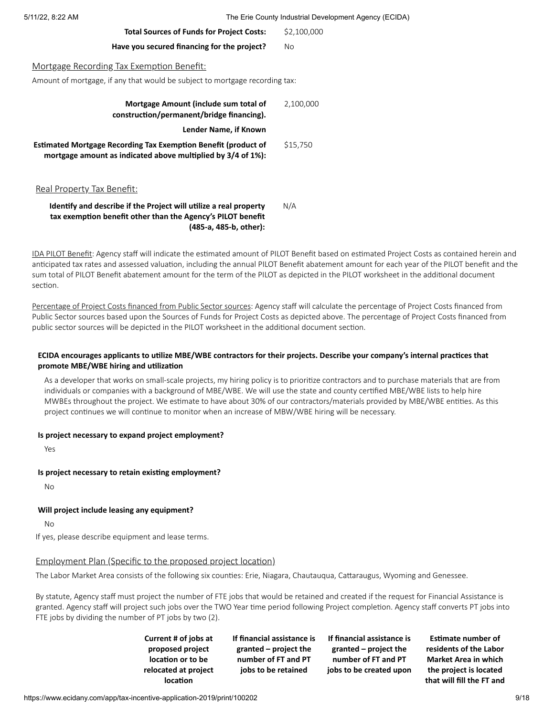5/11/22, 8:22 AM The Erie County Industrial Development Agency (ECIDA)

| <b>Total Sources of Funds for Project Costs:</b>                                                                                      | \$2,100,000 |
|---------------------------------------------------------------------------------------------------------------------------------------|-------------|
| Have you secured financing for the project?                                                                                           | No          |
| Mortgage Recording Tax Exemption Benefit:<br>Amount of mortgage, if any that would be subject to mortgage recording tax:              |             |
| Mortgage Amount (include sum total of<br>construction/permanent/bridge financing).                                                    | 2,100,000   |
| Lender Name, if Known                                                                                                                 |             |
| <b>Estimated Mortgage Recording Tax Exemption Benefit (product of</b><br>mortgage amount as indicated above multiplied by 3/4 of 1%): | \$15,750    |
| Real Property Tax Benefit:                                                                                                            |             |

#### **Identify and describe if the Project will utilize a real property tax exemption benefit other than the Agency's PILOT benefit (485-a, 485-b, other):** N/A

IDA PILOT Benefit: Agency staff will indicate the estimated amount of PILOT Benefit based on estimated Project Costs as contained herein and anticipated tax rates and assessed valuation, including the annual PILOT Benefit abatement amount for each year of the PILOT benefit and the sum total of PILOT Benefit abatement amount for the term of the PILOT as depicted in the PILOT worksheet in the additional document section.

Percentage of Project Costs financed from Public Sector sources: Agency staff will calculate the percentage of Project Costs financed from Public Sector sources based upon the Sources of Funds for Project Costs as depicted above. The percentage of Project Costs financed from public sector sources will be depicted in the PILOT worksheet in the additional document section.

## ECIDA encourages applicants to utilize MBE/WBE contractors for their projects. Describe your company's internal practices that **promote MBE/WBE hiring and utilization**

As a developer that works on small-scale projects, my hiring policy is to prioritize contractors and to purchase materials that are from individuals or companies with a background of MBE/WBE. We will use the state and county certified MBE/WBE lists to help hire MWBEs throughout the project. We estimate to have about 30% of our contractors/materials provided by MBE/WBE entities. As this project continues we will continue to monitor when an increase of MBW/WBE hiring will be necessary.

# **Is project necessary to expand project employment?**

Yes

# **Is project necessary to retain existing employment?**

No

# **Will project include leasing any equipment?**

No

If yes, please describe equipment and lease terms.

# Employment Plan (Specific to the proposed project location)

The Labor Market Area consists of the following six counties: Erie, Niagara, Chautauqua, Cattaraugus, Wyoming and Genessee.

By statute, Agency staff must project the number of FTE jobs that would be retained and created if the request for Financial Assistance is granted. Agency staff will project such jobs over the TWO Year time period following Project completion. Agency staff converts PT jobs into FTE jobs by dividing the number of PT jobs by two (2).

> **Current # of jobs at proposed project location or to be relocated at project location**

**If financial assistance is granted – project the number of FT and PT jobs to be retained**

**If financial assistance is granted – project the number of FT and PT jobs to be created upon**

**Estimate number of residents of the Labor Market Area in which the project is located that will fill the FT and**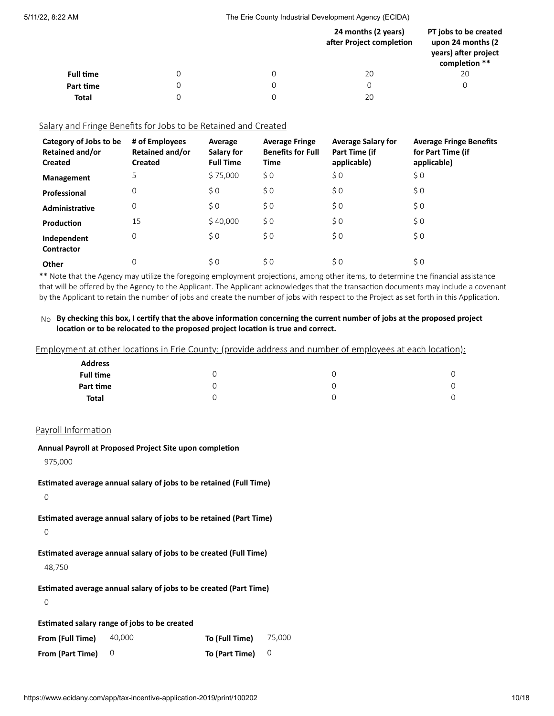5/11/22, 8:22 AM The Erie County Industrial Development Agency (ECIDA)

|                  |   | 24 months (2 years)<br>after Project completion | PT jobs to be created<br>upon 24 months (2)<br>years) after project<br>completion ** |
|------------------|---|-------------------------------------------------|--------------------------------------------------------------------------------------|
| <b>Full time</b> |   | 20                                              | 20                                                                                   |
| Part time        | 0 |                                                 |                                                                                      |
| <b>Total</b>     |   | 20                                              |                                                                                      |

## Salary and Fringe Benefits for Jobs to be Retained and Created

| Category of Jobs to be<br><b>Retained and/or</b><br><b>Created</b> | # of Employees<br><b>Retained and/or</b><br><b>Created</b> | Average<br>Salary for<br><b>Full Time</b> | <b>Average Fringe</b><br><b>Benefits for Full</b><br>Time | <b>Average Salary for</b><br>Part Time (if<br>applicable) | <b>Average Fringe Benefits</b><br>for Part Time (if<br>applicable) |
|--------------------------------------------------------------------|------------------------------------------------------------|-------------------------------------------|-----------------------------------------------------------|-----------------------------------------------------------|--------------------------------------------------------------------|
| <b>Management</b>                                                  | 5                                                          | \$75,000                                  | $\zeta$ 0                                                 | \$0                                                       | \$0                                                                |
| Professional                                                       | 0                                                          | \$0                                       | \$0                                                       | \$0                                                       | \$0                                                                |
| Administrative                                                     | 0                                                          | \$0                                       | \$0                                                       | \$0                                                       | \$0                                                                |
| Production                                                         | 15                                                         | \$40,000                                  | \$0                                                       | \$0                                                       | \$0                                                                |
| Independent<br>Contractor                                          | 0                                                          | \$0                                       | \$0                                                       | \$0                                                       | \$0                                                                |
| Other                                                              | 0                                                          | \$0                                       | \$0                                                       | \$0                                                       | \$0                                                                |

\*\* Note that the Agency may utilize the foregoing employment projections, among other items, to determine the financial assistance that will be offered by the Agency to the Applicant. The Applicant acknowledges that the transaction documents may include a covenant by the Applicant to retain the number of jobs and create the number of jobs with respect to the Project as set forth in this Application.

## No By checking this box, I certify that the above information concerning the current number of jobs at the proposed project **location or to be relocated to the proposed project location is true and correct.**

Employment at other locations in Erie County: (provide address and number of employees at each location):

| <b>Address</b>   |  |  |
|------------------|--|--|
| <b>Full time</b> |  |  |
| Part time        |  |  |
| <b>Total</b>     |  |  |

### Payroll Information

**Annual Payroll at Proposed Project Site upon completion**

975,000

**Estimated average annual salary of jobs to be retained (Full Time)**

 $\overline{0}$ 

**Estimated average annual salary of jobs to be retained (Part Time)**

0

**Estimated average annual salary of jobs to be created (Full Time)**

48,750

**Estimated average annual salary of jobs to be created (Part Time)**

0

**Estimated salary range of jobs to be created**

| From (Full Time)            | 40,000 | To (Full Time)                   | 75.000 |
|-----------------------------|--------|----------------------------------|--------|
| From (Part Time) $\qquad$ 0 |        | To (Part Time) $\qquad$ $\qquad$ |        |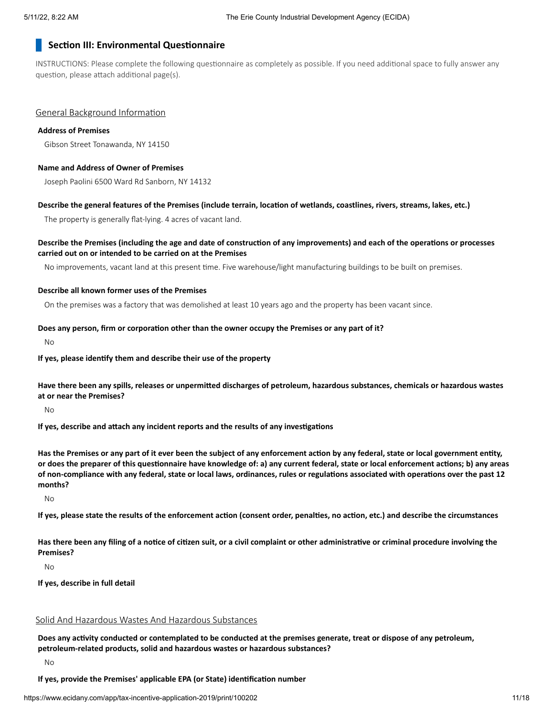# **Section III: Environmental Questionnaire**

INSTRUCTIONS: Please complete the following questionnaire as completely as possible. If you need additional space to fully answer any question, please attach additional page(s).

#### General Background Information

#### **Address of Premises**

Gibson Street Tonawanda, NY 14150

#### **Name and Address of Owner of Premises**

Joseph Paolini 6500 Ward Rd Sanborn, NY 14132

#### Describe the general features of the Premises (include terrain, location of wetlands, coastlines, rivers, streams, lakes, etc.)

The property is generally flat-lying. 4 acres of vacant land.

## Describe the Premises (including the age and date of construction of any improvements) and each of the operations or processes **carried out on or intended to be carried on at the Premises**

No improvements, vacant land at this present time. Five warehouse/light manufacturing buildings to be built on premises.

#### **Describe all known former uses of the Premises**

On the premises was a factory that was demolished at least 10 years ago and the property has been vacant since.

#### **Does any person, firm or corporation other than the owner occupy the Premises or any part of it?**

No

#### **If yes, please identify them and describe their use of the property**

Have there been any spills, releases or unpermitted discharges of petroleum, hazardous substances, chemicals or hazardous wastes **at or near the Premises?**

No

**If yes, describe and attach any incident reports and the results of any investigations**

Has the Premises or any part of it ever been the subject of any enforcement action by any federal, state or local government entity, or does the preparer of this questionnaire have knowledge of: a) any current federal, state or local enforcement actions; b) any areas of non-compliance with any federal, state or local laws, ordinances, rules or regulations associated with operations over the past 12 **months?**

No

If yes, please state the results of the enforcement action (consent order, penalties, no action, etc.) and describe the circumstances

Has there been any filing of a notice of citizen suit, or a civil complaint or other administrative or criminal procedure involving the **Premises?**

No

**If yes, describe in full detail**

# Solid And Hazardous Wastes And Hazardous Substances

Does any activity conducted or contemplated to be conducted at the premises generate, treat or dispose of any petroleum, **petroleum-related products, solid and hazardous wastes or hazardous substances?**

#### No

#### **If yes, provide the Premises' applicable EPA (or State) identification number**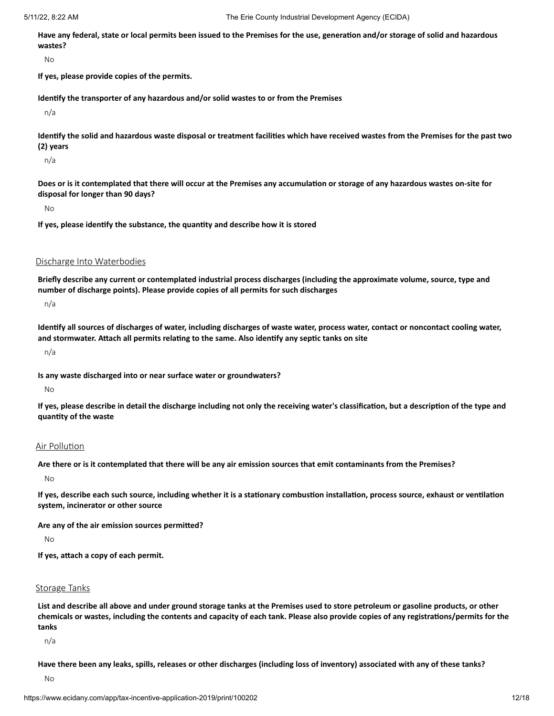Have any federal, state or local permits been issued to the Premises for the use, generation and/or storage of solid and hazardous **wastes?**

No

**If yes, please provide copies of the permits.**

**Identify the transporter of any hazardous and/or solid wastes to or from the Premises**

n/a

Identify the solid and hazardous waste disposal or treatment facilities which have received wastes from the Premises for the past two **(2) years**

n/a

Does or is it contemplated that there will occur at the Premises any accumulation or storage of any hazardous wastes on-site for **disposal for longer than 90 days?**

No

**If yes, please identify the substance, the quantity and describe how it is stored**

Discharge Into Waterbodies

Briefly describe any current or contemplated industrial process discharges (including the approximate volume, source, type and **number of discharge points). Please provide copies of all permits for such discharges**

n/a

Identify all sources of discharges of water, including discharges of waste water, process water, contact or noncontact cooling water, **and stormwater. Attach all permits relating to the same. Also identify any septic tanks on site**

n/a

**Is any waste discharged into or near surface water or groundwaters?**

No

If yes, please describe in detail the discharge including not only the receiving water's classification, but a description of the type and **quantity of the waste**

#### Air Pollution

Are there or is it contemplated that there will be any air emission sources that emit contaminants from the Premises?

No

If yes, describe each such source, including whether it is a stationary combustion installation, process source, exhaust or ventilation **system, incinerator or other source**

**Are any of the air emission sources permitted?**

No

**If yes, attach a copy of each permit.**

## Storage Tanks

List and describe all above and under ground storage tanks at the Premises used to store petroleum or gasoline products, or other chemicals or wastes, including the contents and capacity of each tank. Please also provide copies of any registrations/permits for the **tanks**

n/a

Have there been any leaks, spills, releases or other discharges (including loss of inventory) associated with any of these tanks?

No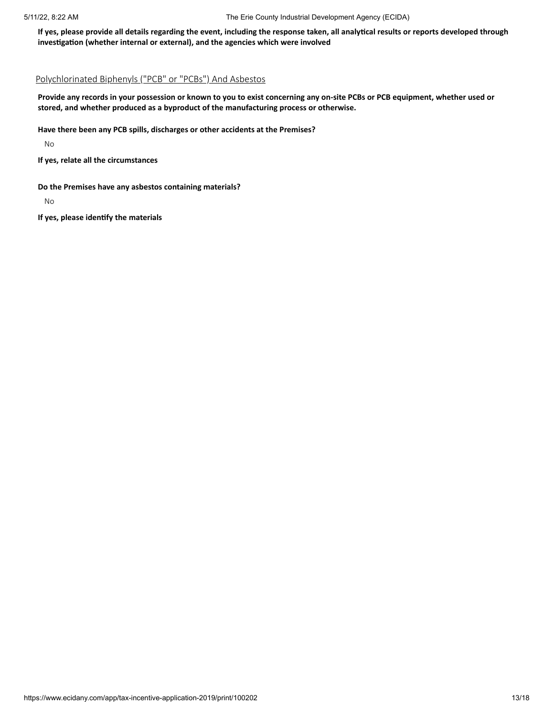If yes, please provide all details regarding the event, including the response taken, all analytical results or reports developed through **investigation (whether internal or external), and the agencies which were involved**

# Polychlorinated Biphenyls ("PCB" or "PCBs") And Asbestos

Provide any records in your possession or known to you to exist concerning any on-site PCBs or PCB equipment, whether used or **stored, and whether produced as a byproduct of the manufacturing process or otherwise.**

## **Have there been any PCB spills, discharges or other accidents at the Premises?**

No

**If yes, relate all the circumstances**

**Do the Premises have any asbestos containing materials?**

No

**If yes, please identify the materials**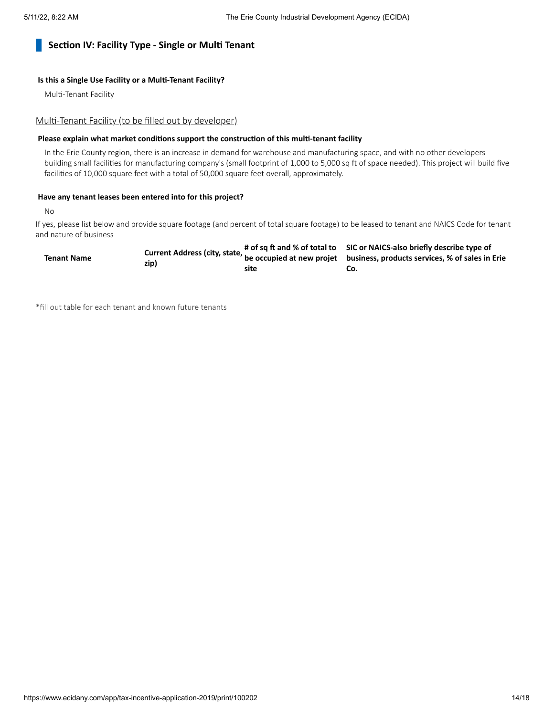# **Section IV: Facility Type - Single or Multi Tenant**

### **Is this a Single Use Facility or a Multi-Tenant Facility?**

Multi-Tenant Facility

#### Multi-Tenant Facility (to be filled out by developer)

## **Please explain what market conditions support the construction of this multi-tenant facility**

In the Erie County region, there is an increase in demand for warehouse and manufacturing space, and with no other developers building small facilities for manufacturing company's (small footprint of 1,000 to 5,000 sq ft of space needed). This project will build five facilities of 10,000 square feet with a total of 50,000 square feet overall, approximately.

#### **Have any tenant leases been entered into for this project?**

No

If yes, please list below and provide square footage (and percent of total square footage) to be leased to tenant and NAICS Code for tenant and nature of business

|                    |      |      | # of sq ft and % of total to SIC or NAICS-also briefly describe type of                                              |
|--------------------|------|------|----------------------------------------------------------------------------------------------------------------------|
| <b>Tenant Name</b> | zip) |      | Current Address (city, state, $\frac{1}{n}$ be occupied at new projet business, products services, % of sales in Eri |
|                    |      | site | CO.                                                                                                                  |

\*fill out table for each tenant and known future tenants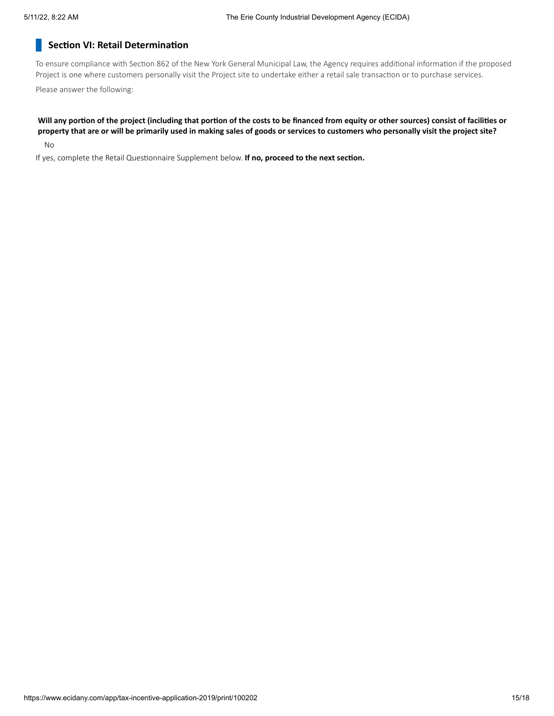# **Section VI: Retail Determination**

To ensure compliance with Section 862 of the New York General Municipal Law, the Agency requires additional information if the proposed Project is one where customers personally visit the Project site to undertake either a retail sale transaction or to purchase services.

Please answer the following:

# Will any portion of the project (including that portion of the costs to be financed from equity or other sources) consist of facilities or property that are or will be primarily used in making sales of goods or services to customers who personally visit the project site?

No

If yes, complete the Retail Questionnaire Supplement below. **If no, proceed to the next section.**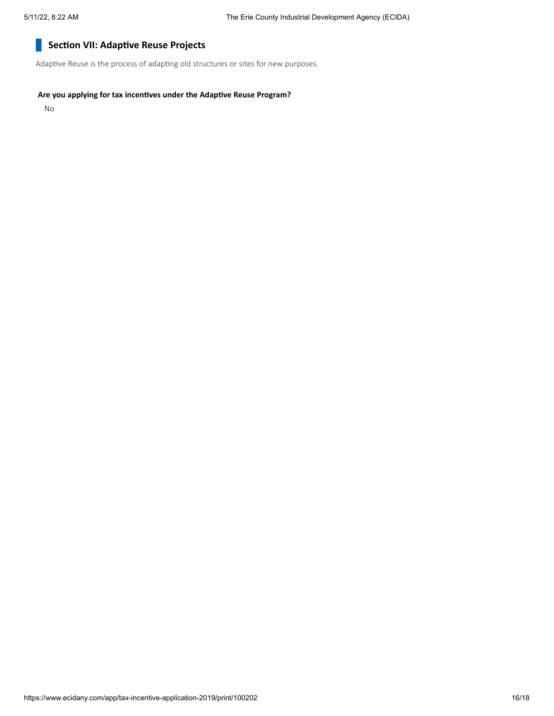#### **Section VII: Adaptive Reuse Projects** H

Adaptive Reuse is the process of adapting old structures or sites for new purposes.

## **Are you applying for tax incentives under the Adaptive Reuse Program?**

No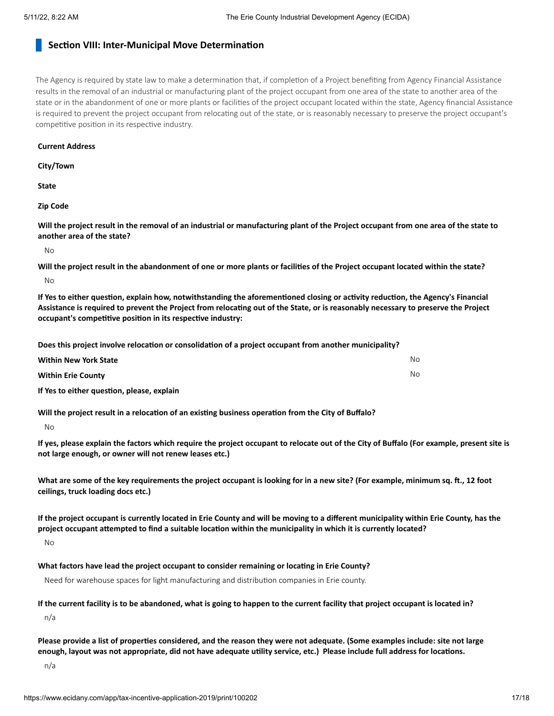# **Section VIII: Inter-Municipal Move Determination**

The Agency is required by state law to make a determination that, if completion of a Project benefiting from Agency Financial Assistance results in the removal of an industrial or manufacturing plant of the project occupant from one area of the state to another area of the state or in the abandonment of one or more plants or facilities of the project occupant located within the state, Agency financial Assistance is required to prevent the project occupant from relocating out of the state, or is reasonably necessary to preserve the project occupant's competitive position in its respective industry.

#### **Current Address**

**City/Town**

**State**

**Zip Code**

Will the project result in the removal of an industrial or manufacturing plant of the Project occupant from one area of the state to **another area of the state?**

No

Will the project result in the abandonment of one or more plants or facilities of the Project occupant located within the state? No

If Yes to either question, explain how, notwithstanding the aforementioned closing or activity reduction, the Agency's Financial Assistance is required to prevent the Project from relocating out of the State, or is reasonably necessary to preserve the Project **occupant's competitive position in its respective industry:**

**Does this project involve relocation or consolidation of a project occupant from another municipality?**

| <b>Within New York State</b>               | No. |
|--------------------------------------------|-----|
| <b>Within Erie County</b>                  | No. |
| If Yes to either question, please, explain |     |

**Will the project result in a relocation of an existing business operation from the City of Buffalo?**

No

If yes, please explain the factors which require the project occupant to relocate out of the City of Buffalo (For example, present site is **not large enough, or owner will not renew leases etc.)**

What are some of the key requirements the project occupant is looking for in a new site? (For example, minimum sq. ft., 12 foot **ceilings, truck loading docs etc.)**

If the project occupant is currently located in Erie County and will be moving to a different municipality within Erie County, has the project occupant attempted to find a suitable location within the municipality in which it is currently located?

No

**What factors have lead the project occupant to consider remaining or locating in Erie County?**

Need for warehouse spaces for light manufacturing and distribution companies in Erie county.

#### If the current facility is to be abandoned, what is going to happen to the current facility that project occupant is located in?

n/a

Please provide a list of properties considered, and the reason they were not adequate. (Some examples include: site not large enough, layout was not appropriate, did not have adequate utility service, etc.) Please include full address for locations.

n/a